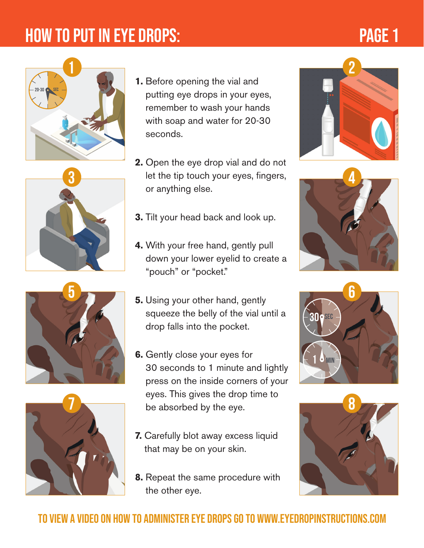# HOW TO PUT IN EYE DROPS:

# PAGE 1





**5**



- **1.** Before opening the vial and putting eye drops in your eyes, remember to wash your hands with soap and water for 20-30 seconds.
- **2.** Open the eye drop vial and do not let the tip touch your eyes, fingers, or anything else.
- **3.** Tilt your head back and look up.
- **4.** With your free hand, gently pull down your lower eyelid to create a "pouch" or "pocket."
- **5.** Using your other hand, gently squeeze the belly of the vial until a drop falls into the pocket.
- **6.** Gently close your eyes for 30 seconds to 1 minute and lightly press on the inside corners of your eyes. This gives the drop time to be absorbed by the eye.
- **7.** Carefully blot away excess liquid that may be on your skin.
- **8.** Repeat the same procedure with the other eye.









### to view a video on how to administer eye drops go to www.EyeDropInstructions.com